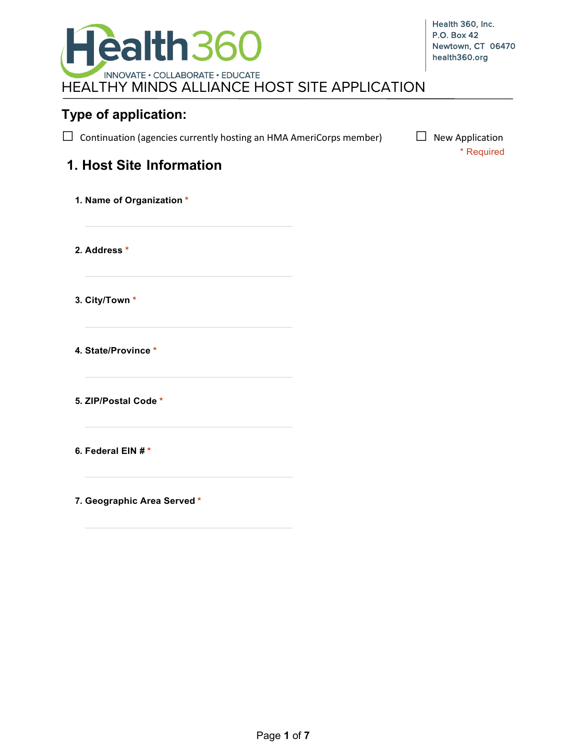

### **Type of application:**

 $\Box$  Continuation (agencies currently hosting an HMA AmeriCorps member)  $\Box$  New Application

\* Required

# **1. Host Site Information**

| 1. Name of Organization * |
|---------------------------|
| 2. Address *              |
| 3. City/Town *            |
| 4. State/Province *       |
| 5. ZIP/Postal Code *      |
| 6. Federal EIN #*         |
|                           |

**7. Geographic Area Served \***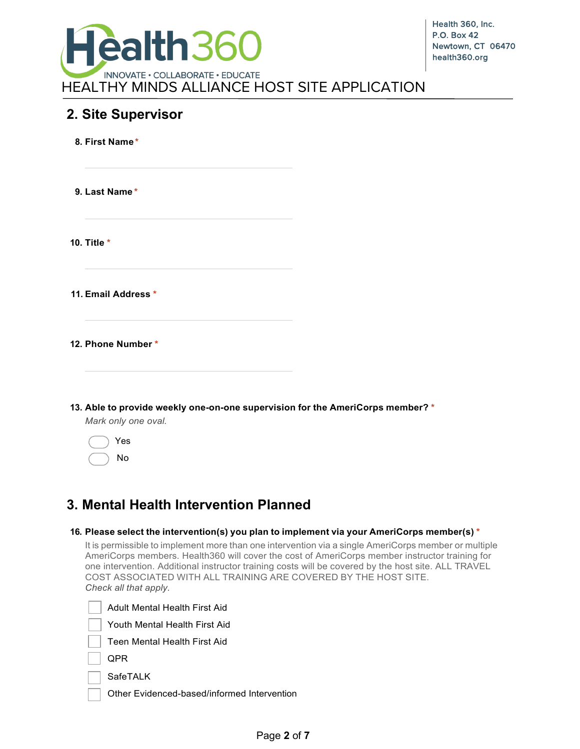

### **2. Site Supervisor**

|             | 8. First Name*                                                                                        |  |
|-------------|-------------------------------------------------------------------------------------------------------|--|
|             | 9. Last Name*                                                                                         |  |
| 10. Title * |                                                                                                       |  |
|             | 11. Email Address *                                                                                   |  |
|             | 12. Phone Number*<br>the control of the control of the control of                                     |  |
|             | 13. Able to provide weekly one-on-one supervision for the AmeriCorps member? *<br>Mark only one oval. |  |

### Yes No

## **3. Mental Health Intervention Planned**

| 16. Please select the intervention(s) you plan to implement via your AmeriCorps member(s) $^\star$ |                                                                                                                                                                                                                                                                                                                                                                                                           |  |  |  |
|----------------------------------------------------------------------------------------------------|-----------------------------------------------------------------------------------------------------------------------------------------------------------------------------------------------------------------------------------------------------------------------------------------------------------------------------------------------------------------------------------------------------------|--|--|--|
|                                                                                                    | It is permissible to implement more than one intervention via a single AmeriCorps member or multiple<br>AmeriCorps members. Health360 will cover the cost of AmeriCorps member instructor training for<br>one intervention. Additional instructor training costs will be covered by the host site. ALL TRAVEL<br>COST ASSOCIATED WITH ALL TRAINING ARE COVERED BY THE HOST SITE.<br>Check all that apply. |  |  |  |
|                                                                                                    | <b>Adult Mental Health First Aid</b>                                                                                                                                                                                                                                                                                                                                                                      |  |  |  |
|                                                                                                    | Youth Mental Health First Aid                                                                                                                                                                                                                                                                                                                                                                             |  |  |  |



SafeTALK

Other Evidenced-based/informed Intervention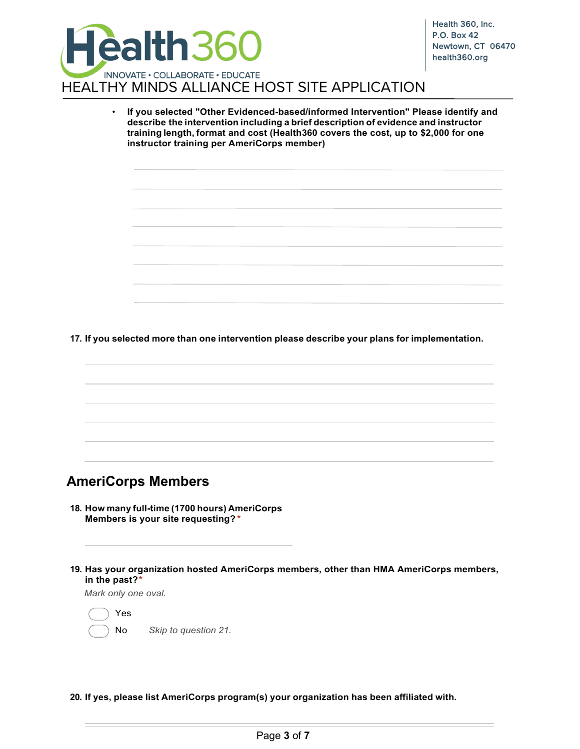

• **If you selected "Other Evidenced-based/informed Intervention" Please identify and describe the intervention including a brief description of evidence and instructor training length, format and cost (Health360 covers the cost, up to \$2,000 for one instructor training per AmeriCorps member)**

**17. If you selected more than one intervention please describe your plans for implementation.**

### **AmeriCorps Members**

- **18. How many full-time (1700 hours) AmeriCorps Members is your site requesting? \***
- **19. Has your organization hosted AmeriCorps members, other than HMA AmeriCorps members, in the past?\***

*Mark only one oval.*

Yes No *Skip to question 21.*

**20. If yes, please list AmeriCorps program(s) your organization has been affiliated with.**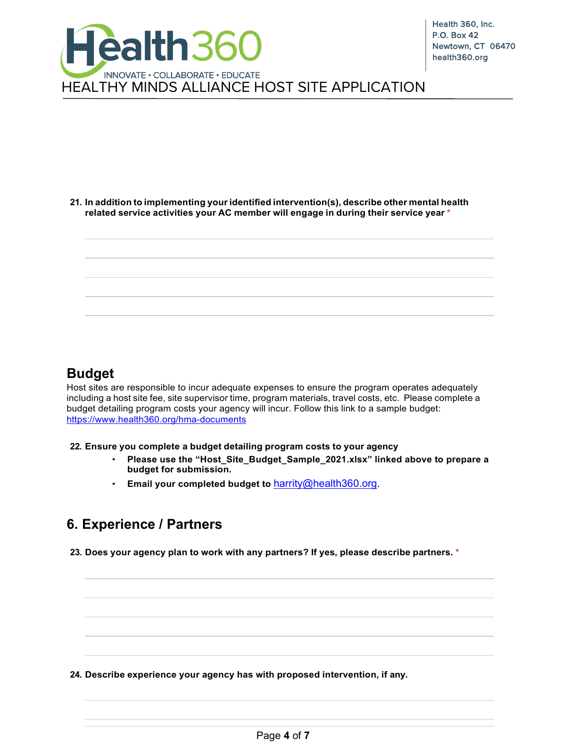

#### **21. In addition to implementing youridentified intervention(s), describe other mental health related service activities your AC member will engage in during their service year \***



### **Budget**

Host sites are responsible to incur adequate expenses to ensure the program operates adequately including a host site fee, site supervisor time, program materials, travel costs, etc. Please complete a budget detailing program costs your agency will incur. Follow this link to a sample budget: https://www.health360.org/hma-documents

**22. Ensure you complete a budget detailing program costs to your agency**

- **Please use the "Host\_Site\_Budget\_Sample\_2021.xlsx" linked above to prepare a budget for submission.**
- **Email your completed budget to** [harrity@health360.org.](mailto:harrity@health360.org)

## **6. Experience / Partners**

**23. Does your agency plan to work with any partners? If yes, please describe partners. \***

**24. Describe experience your agency has with proposed intervention, if any.**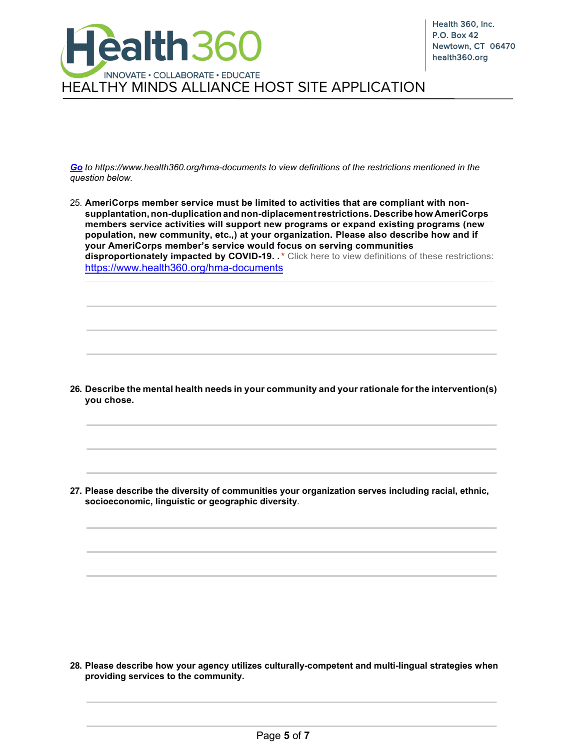

*Go to https://www.health360.org/hma-documents to view definitions of the restrictions mentioned in the question below.*

25. **AmeriCorps member service must be limited to activities that are compliant with nonsupplantation,non-duplication and non-diplacementrestrictions. Describe how AmeriCorps members service activities will support new programs or expand existing programs (new population, new community, etc.,) at your organization. Please also describe how and if your AmeriCorps member's service would focus on serving communities disproportionately impacted by COVID-19. .\*** Click here to view definitions of these restrictions: <https://www.health360.org/hma-documents>

**26. Describe the mental health needs in your community and your rationale for the intervention(s) you chose.**

**27. Please describe the diversity of communities your organization serves including racial, ethnic, socioeconomic, linguistic or geographic diversity**.

**28. Please describe how your agency utilizes culturally-competent and multi-lingual strategies when providing services to the community.**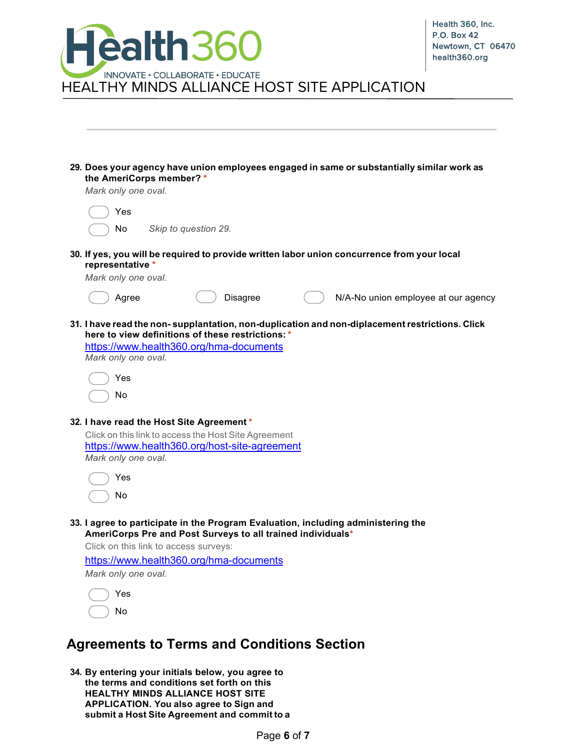| <b>Health360</b>                                                                                                      | Health 360, Inc.<br><b>P.O. Box 42</b><br>Newtown, CT 06470<br>health360.org |  |  |  |
|-----------------------------------------------------------------------------------------------------------------------|------------------------------------------------------------------------------|--|--|--|
| INNOVATE · COLLABORATE · EDUCATE<br><b>HEALTHY MINDS ALLIANCE HOST SITE APPLICATION</b>                               |                                                                              |  |  |  |
|                                                                                                                       |                                                                              |  |  |  |
|                                                                                                                       |                                                                              |  |  |  |
| 29. Does your agency have union employees engaged in same or substantially similar work as<br>the AmeriCorps member?* |                                                                              |  |  |  |
| Mark only one oval.                                                                                                   |                                                                              |  |  |  |
| Yes                                                                                                                   |                                                                              |  |  |  |
| Skip to question 29.<br>No                                                                                            |                                                                              |  |  |  |
|                                                                                                                       |                                                                              |  |  |  |
| 30. If yes, you will be required to provide written labor union concurrence from your local<br>representative *       |                                                                              |  |  |  |
| Mark only one oval.                                                                                                   |                                                                              |  |  |  |
| Agree<br>Disagree                                                                                                     | N/A-No union employee at our agency                                          |  |  |  |
|                                                                                                                       |                                                                              |  |  |  |
| 31. I have read the non-supplantation, non-duplication and non-diplacement restrictions. Click                        |                                                                              |  |  |  |
| here to view definitions of these restrictions: *<br>https://www.health360.org/hma-documents                          |                                                                              |  |  |  |
| Mark only one oval.                                                                                                   |                                                                              |  |  |  |
| Yes                                                                                                                   |                                                                              |  |  |  |
| No                                                                                                                    |                                                                              |  |  |  |
|                                                                                                                       |                                                                              |  |  |  |
| 32. I have read the Host Site Agreement*                                                                              |                                                                              |  |  |  |
| Click on this link to access the Host Site Agreement                                                                  |                                                                              |  |  |  |
| https://www.health360.org/host-site-agreement<br>Mark only one oval.                                                  |                                                                              |  |  |  |
| Yes                                                                                                                   |                                                                              |  |  |  |
|                                                                                                                       |                                                                              |  |  |  |
| No                                                                                                                    |                                                                              |  |  |  |
| 33. I agree to participate in the Program Evaluation, including administering the                                     |                                                                              |  |  |  |
| AmeriCorps Pre and Post Surveys to all trained individuals*                                                           |                                                                              |  |  |  |
| Click on this link to access surveys:                                                                                 |                                                                              |  |  |  |
| https://www.health360.org/hma-documents<br>Mark only one oval.                                                        |                                                                              |  |  |  |
|                                                                                                                       |                                                                              |  |  |  |
| Yes                                                                                                                   |                                                                              |  |  |  |
| No                                                                                                                    |                                                                              |  |  |  |

# **Agreements to Terms and Conditions Section**

**34. By entering your initials below, you agree to the terms and conditions set forth on this HEALTHY MINDS ALLIANCE HOST SITE APPLICATION. You also agree to Sign and submit a Host Site Agreement and commit to a**